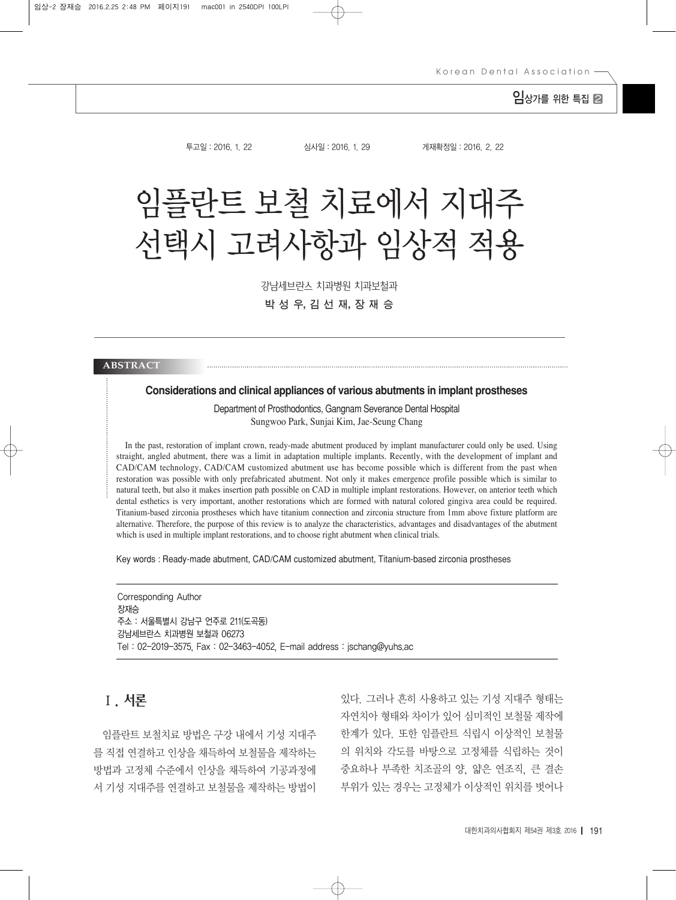## $Q$   $\lambda$ 가를 위한 특집  $Q$

투고일:2016. 1. 22 심사일:2016. 1. 29 게재확정일:2016. 2. 22

# 임플란트 보철 치료에서 지대주 선택시 고려사항과 임상적 적용

강남세브란스 치과병원 치과보철과 박 성 우, 김 선 재, 장 재 승

#### **ABSTRACT**

#### **Considerations and clinical appliances of various abutments in implant prostheses**

Department of Prosthodontics, Gangnam Severance Dental Hospital Sungwoo Park, Sunjai Kim, Jae-Seung Chang

In the past, restoration of implant crown, ready-made abutment produced by implant manufacturer could only be used. Using straight, angled abutment, there was a limit in adaptation multiple implants. Recently, with the development of implant and CAD/CAM technology, CAD/CAM customized abutment use has become possible which is different from the past when restoration was possible with only prefabricated abutment. Not only it makes emergence profile possible which is similar to natural teeth, but also it makes insertion path possible on CAD in multiple implant restorations. However, on anterior teeth which dental esthetics is very important, another restorations which are formed with natural colored gingiva area could be required. Titanium-based zirconia prostheses which have titanium connection and zirconia structure from 1mm above fixture platform are alternative. Therefore, the purpose of this review is to analyze the characteristics, advantages and disadvantages of the abutment which is used in multiple implant restorations, and to choose right abutment when clinical trials.

Key words : Ready-made abutment, CAD/CAM customized abutment, Titanium-based zirconia prostheses

Corresponding Author 장재승 주소 : 서울특별시 강남구 언주로 211(도곡동) 강남세브란스 치과병원 보철과 06273 Tel : 02-2019-3575, Fax : 02-3463-4052, E-mail address : jschang@yuhs.ac

## Ⅰ. 서론

임플란트 보철치료 방법은 구강 내에서 기성 지대주 를 직접 연결하고 인상을 채득하여 보철물을 제작하는 방법과 고정체 수준에서 인상을 채득하여 기공과정에 서 기성 지대주를 연결하고 보철물을 제작하는 방법이

있다. 그러나 흔히 사용하고 있는 기성 지대주 형태는 자연치아 형태와 차이가 있어 심미적인 보철물 제작에 한계가 있다. 또한 임플란트 식립시 이상적인 보철물 의 위치와 각도를 바탕으로 고정체를 식립하는 것이 중요하나 부족한 치조골의 양, 얇은 연조직, 큰 결손 부위가 있는 경우는 고정체가 이상적인 위치를 벗어나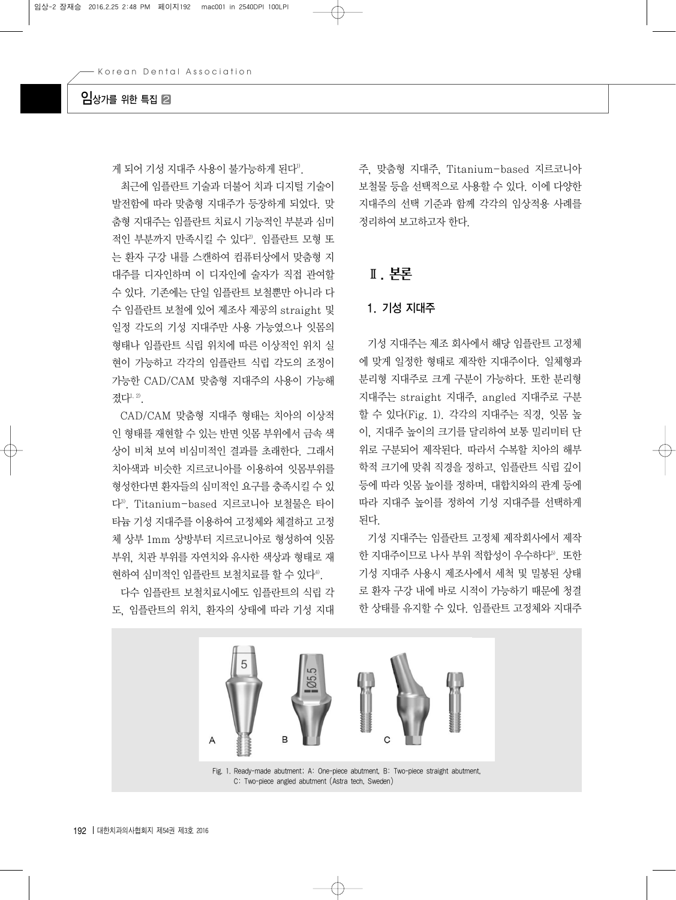## $9$  A  $\gamma$  A  $\gamma$  A  $\gamma$

게 되어 기성 지대주 사용이 불가능하게 된다".

최근에 임플란트 기술과 더불어 치과 디지털 기술이 발전함에 따라 맞춤형 지대주가 등장하게 되었다. 맞 춤형 지대주는 임플란트 치료시 기능적인 부분과 심미 적인 부분까지 만족시킬 수 있다2). 임플란트 모형 또 는 환자 구강 내를 스캔하여 컴퓨터상에서 맞춤형 지 대주를 디자인하며 이 디자인에 술자가 직접 관여할 수 있다. 기존에는 단일 임플란트 보철뿐만 아니라 다 수 임플란트 보철에 있어 제조사 제공의 straight 및 일정 각도의 기성 지대주만 사용 가능였으나 잇몸의 형태나 임플란트 식립 위치에 따른 이상적인 위치 실 현이 가능하고 각각의 임플란트 식립 각도의 조정이 가능한 CAD/CAM 맞춤형 지대주의 사용이 가능해 졌다<sup>1, 2)</sup>.

CAD/CAM 맞춤형 지대주 형태는 치아의 이상적 인 형태를 재현할 수 있는 반면 잇몸 부위에서 금속 색 상이 비쳐 보여 비심미적인 결과를 초래한다. 그래서 치아색과 비슷한 지르코니아를 이용하여 잇몸부위를 형성한다면 환자들의 심미적인 요구를 충족시킬 수 있 다3). Titanium-based 지르코니아 보철물은 타이 타늄 기성 지대주를 이용하여 고정체와 체결하고 고정 체 상부 1mm 상방부터 지르코니아로 형성하여 잇몸 부위, 치관 부위를 자연치와 유사한 색상과 형태로 재 현하여 심미적인 임플란트 보철치료를 할 수 있다<sup>4)</sup>.

다수 임플란트 보철치료시에도 임플란트의 식립 각 도, 임플란트의 위치, 환자의 상태에 따라 기성 지대

주, 맞춤형 지대주, Titanium-based 지르코니아 보철물 등을 선택적으로 사용할 수 있다. 이에 다양한 지대주의 선택 기준과 함께 각각의 임상적용 사례를 정리하여 보고하고자 한다.

## Ⅱ. 본론

#### 1. 기성 지대주

기성 지대주는 제조 회사에서 해당 임플란트 고정체 에 맞게 일정한 형태로 제작한 지대주이다. 일체형과 분리형 지대주로 크게 구분이 가능하다. 또한 분리형 지대주는 straight 지대주, angled 지대주로 구분 할 수 있다(Fig. 1). 각각의 지대주는 직경, 잇몸 높 이, 지대주 높이의 크기를 달리하여 보통 밀리미터 단 위로 구분되어 제작된다. 따라서 수복할 치아의 해부 학적 크기에 맞춰 직경을 정하고, 임플란트 식립 깊이 등에 따라 잇몸 높이를 정하며, 대합치와의 관계 등에 따라 지대주 높이를 정하여 기성 지대주를 선택하게 된다.

기성 지대주는 임플란트 고정체 제작회사에서 제작 한 지대주이므로 나사 부위 적합성이 우수하다<sup>5)</sup>. 또한 기성 지대주 사용시 제조사에서 세척 및 밀봉된 상태 로 환자 구강 내에 바로 시적이 가능하기 때문에 청결 한 상태를 유지할 수 있다. 임플란트 고정체와 지대주

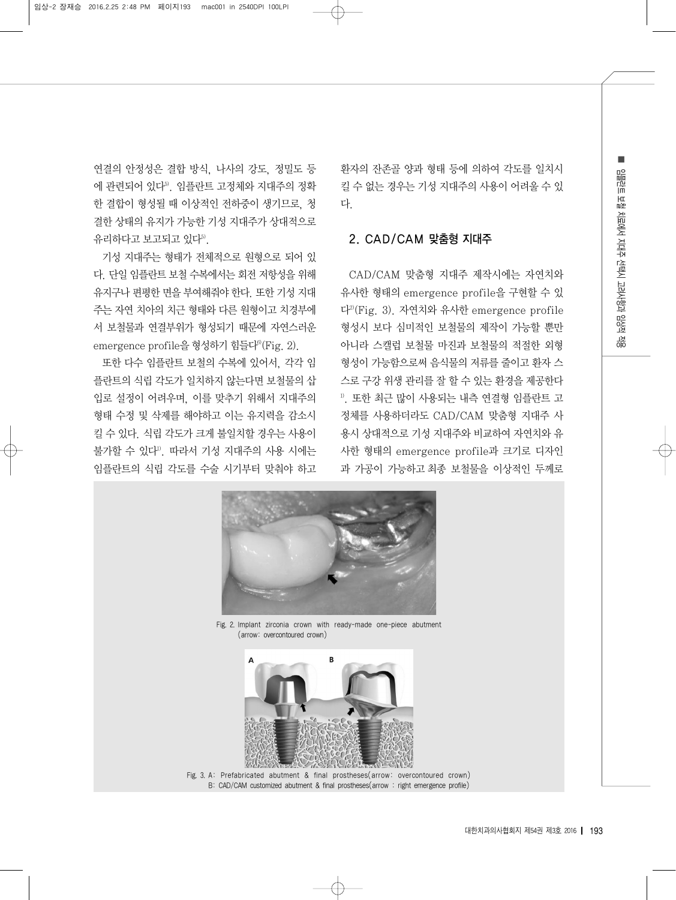연결의 안정성은 결합 방식, 나사의 강도, 정밀도 등 에 관련되어 있다5). 임플란트 고정체와 지대주의 정확 한 결합이 형성될 때 이상적인 전하중이 생기므로, 청 결한 상태의 유지가 가능한 기성 지대주가 상대적으로 유리하다고 보고되고 있다5).

기성 지대주는 형태가 전체적으로 원형으로 되어 있 다. 단일 임플란트 보철 수복에서는 회전 저항성을 위해 유지구나 편평한 면을 부여해줘야 한다. 또한 기성 지대 주는 자연 치아의 치근 형태와 다른 원형이고 치경부에 서 보철물과 연결부위가 형성되기 때문에 자연스러운 emergence profile을 형성하기 힘들다<sup>6)</sup>(Fig. 2).

또한 다수 임플란트 보철의 수복에 있어서, 각각 임 플란트의 식립 각도가 일치하지 않는다면 보철물의 삽 입로 설정이 어려우며, 이를 맞추기 위해서 지대주의 형태 수정 및 삭제를 해야하고 이는 유지력을 감소시 킬 수 있다. 식립 각도가 크게 불일치할 경우는 사용이 불가할 수 있다1). 따라서 기성 지대주의 사용 시에는 임플란트의 식립 각도를 수술 시기부터 맞춰야 하고 환자의 잔존골 양과 형태 등에 의하여 각도를 일치시 킬 수 없는 경우는 기성 지대주의 사용이 어려울 수 있 다.

#### 2. CAD/CAM 맞춤형 지대주

CAD/CAM 맞춤형 지대주 제작시에는 자연치와 유사한 형태의 emergence profile을 구현할 수 있 다2)(Fig. 3). 자연치와 유사한 emergence profile 형성시 보다 심미적인 보철물의 제작이 가능할 뿐만 아니라 스캘럽 보철물 마진과 보철물의 적절한 외형 형성이 가능함으로써 음식물의 저류를 줄이고 환자 스 스로 구강 위생 관리를 잘 할 수 있는 환경을 제공한다 1). 또한 최근 많이 사용되는 내측 연결형 임플란트 고 정체를 사용하더라도 CAD/CAM 맞춤형 지대주 사 용시 상대적으로 기성 지대주와 비교하여 자연치와 유 사한 형태의 emergence profile과 크기로 디자인 과 가공이 가능하고최종 보철물을 이상적인 두께로



Fig. 2. Implant zirconia crown with ready-made one-piece abutment (arrow: overcontoured crown)



Fig. 3. A: Prefabricated abutment & final prostheses(arrow: overcontoured crown) B: CAD/CAM customized abutment & final prostheses(arrow : right emergence profile)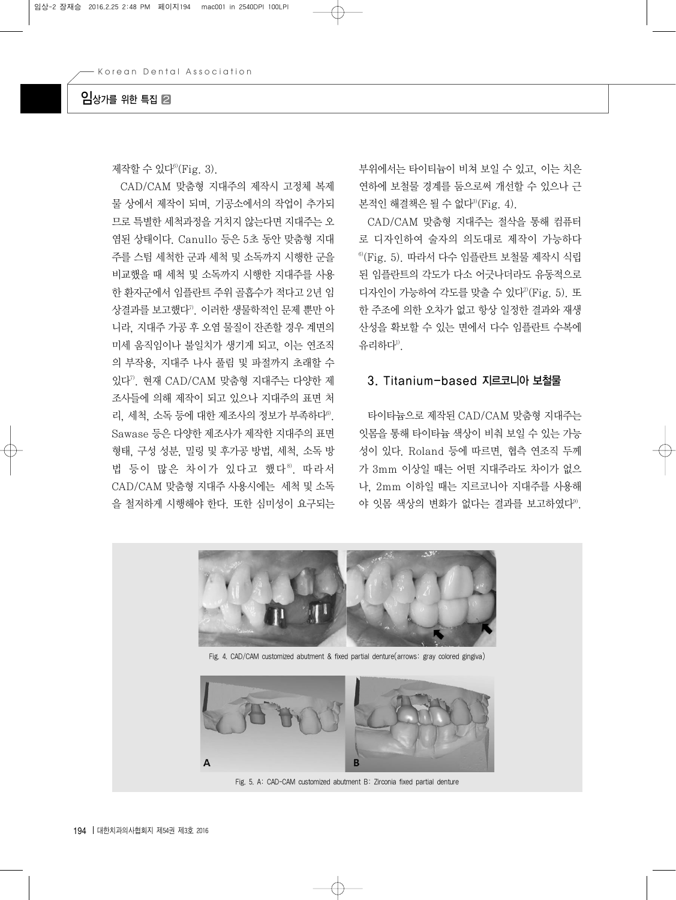## $9$  A  $\gamma$  A  $\gamma$  A  $\gamma$

제작할 수 있다<sup>6)</sup>(Fig. 3).

CAD/CAM 맞춤형 지대주의 제작시 고정체 복제 물 상에서 제작이 되며, 기공소에서의 작업이 추가되 므로 특별한 세척과정을 거치지 않는다면 지대주는 오 염된 상태이다. Canullo 등은 5초 동안 맞춤형 지대 주를 스팀 세척한 군과 세척 및 소독까지 시행한 군을 비교했을 때 세척 및 소독까지 시행한 지대주를 사용 한 환자군에서 임플란트 주위 골흡수가 적다고 2년 임 상결과를 보고했다7). 이러한 생물학적인 문제 뿐만 아 니라, 지대주 가공 후 오염 물질이 잔존할 경우 계면의 미세 움직임이나 불일치가 생기게 되고, 이는 연조직 의 부작용, 지대주 나사 풀림 및 파절까지 초래할 수 있다7). 현재 CAD/CAM 맞춤형 지대주는 다양한 제 조사들에 의해 제작이 되고 있으나 지대주의 표면 처 리, 세척, 소독 등에 대한 제조사의 정보가 부족하다<sup>6)</sup>. Sawase 등은 다양한 제조사가 제작한 지대주의 표면 형태, 구성 성분, 밀링 및 후가공 방법, 세척, 소독 방 법 등이 많은 차이가 있다고 했다<sup>8)</sup>. 따라서 CAD/CAM 맞춤형 지대주 사용시에는 세척 및 소독 을 철저하게 시행해야 한다. 또한 심미성이 요구되는 부위에서는 타이티늄이 비쳐 보일 수 있고, 이는 치은 연하에 보철물 경계를 둠으로써 개선할 수 있으나 근 본적인 해결책은 될 수 없다 ${}^{30}$ (Fig. 4).

CAD/CAM 맞춤형 지대주는 절삭을 통해 컴퓨터 로 디자인하여 술자의 의도대로 제작이 가능하다 6)(Fig. 5). 따라서 다수 임플란트 보철물 제작시 식립 된 임플란트의 각도가 다소 어긋나더라도 유동적으로 디자인이 가능하여 각도를 맞출 수 있다2)(Fig. 5). 또 한 주조에 의한 오차가 없고 항상 일정한 결과와 재생 산성을 확보할 수 있는 면에서 다수 임플란트 수복에 유리하다<sup>1)</sup>.

#### 3. Titanium-based 지르코니아 보철물

타이타늄으로 제작된 CAD/CAM 맞춤형 지대주는 잇몸을 통해 타이타늄 색상이 비춰 보일 수 있는 가능 성이 있다. Roland 등에 따르면, 협측 연조직 두께 가 3mm 이상일 때는 어떤 지대주라도 차이가 없으 나, 2mm 이하일 때는 지르코니아 지대주를 사용해 야 잇몸 색상의 변화가 없다는 결과를 보고하였다<sup>9</sup>.



Fig. 4. CAD/CAM customized abutment & fixed partial denture(arrows: gray colored gingiva)



Fig. 5. A: CAD-CAM customized abutment B: Zirconia fixed partial denture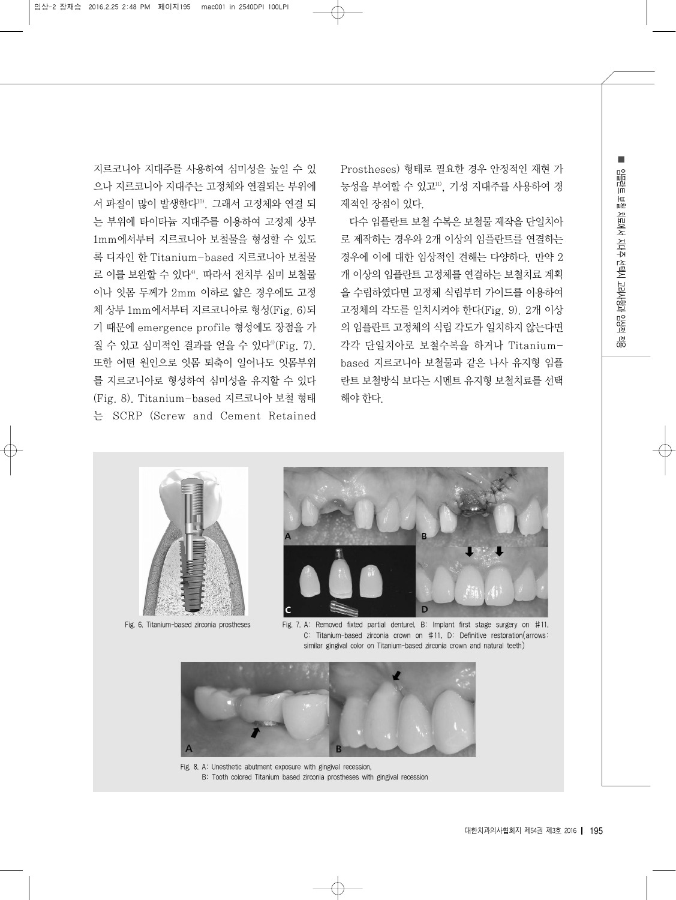지르코니아 지대주를 사용하여 심미성을 높일 수 있 으나 지르코니아 지대주는 고정체와 연결되는 부위에 서 파절이 많이 발생한다10). 그래서 고정체와 연결 되 는 부위에 타이타늄 지대주를 이용하여 고정체 상부 1mm에서부터 지르코니아 보철물을 형성할 수 있도 록 디자인 한 Titanium-based 지르코니아 보철물 로 이를 보완할 수 있다4). 따라서 전치부 심미 보철물 이나 잇몸 두께가 2mm 이하로 얇은 경우에도 고정 체 상부 1mm에서부터 지르코니아로 형성(Fig. 6)되 기 때문에 emergence profile 형성에도 장점을 가 질 수 있고 심미적인 결과를 얻을 수 있다<sup>4)</sup>(Fig. 7). 또한 어떤 원인으로 잇몸 퇴축이 일어나도 잇몸부위 를 지르코니아로 형성하여 심미성을 유지할 수 있다 (Fig. 8). Titanium-based 지르코니아 보철 형태 는 SCRP (Screw and Cement Retained Prostheses) 형태로 필요한 경우 안정적인 재현 가 능성을 부여할 수 있고11), 기성 지대주를 사용하여 경 제적인 장점이 있다.

다수 임플란트 보철 수복은 보철물 제작을 단일치아 로 제작하는 경우와 2개 이상의 임플란트를 연결하는 경우에 이에 대한 임상적인 견해는 다양하다. 만약 2 개 이상의 임플란트 고정체를 연결하는 보철치료 계획 을 수립하였다면 고정체 식립부터 가이드를 이용하여 고정체의 각도를 일치시켜야 한다(Fig. 9). 2개 이상 의 임플란트 고정체의 식립 각도가 일치하지 않는다면 각각 단일치아로 보철수복을 하거나 Titaniumbased 지르코니아 보철물과 같은 나사 유지형 임플 란트 보철방식 보다는 시멘트 유지형 보철치료를 선택 해야 한다.



Fig. 6. Titanium-based zirconia prostheses



Fig. 7. A: Removed fixted partial denturel, B: Implant first stage surgery on #11, C: Titanium-based zirconia crown on #11, D: Definitive restoration(arrows: similar gingival color on Titanium-based zirconia crown and natural teeth)



Fig. 8. A: Unesthetic abutment exposure with gingival recession, B: Tooth colored Titanium based zirconia prostheses with gingival recession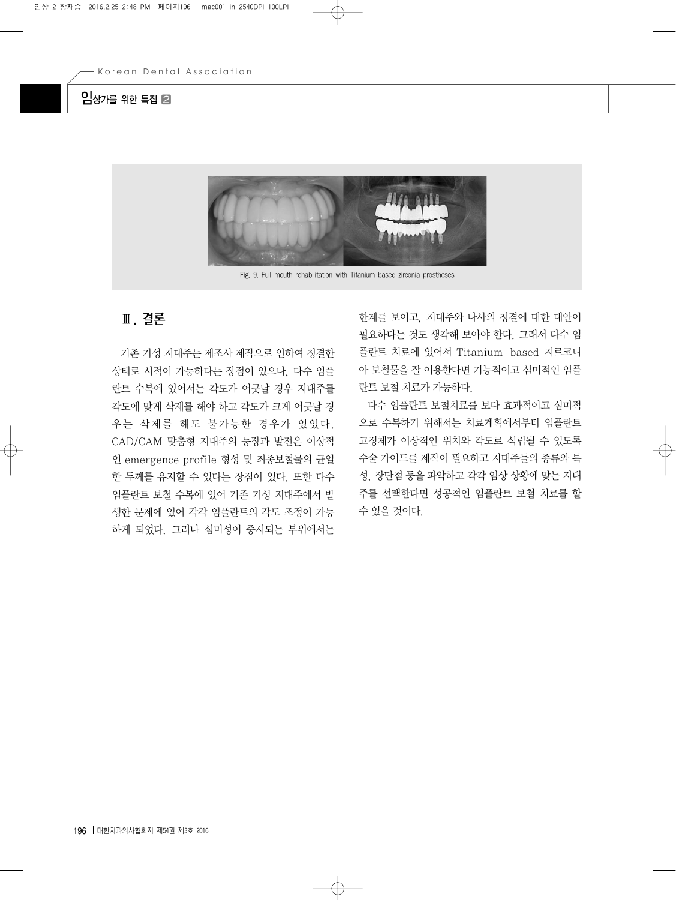## $2$ 상가를 위한 특집 2



Fig. 9. Full mouth rehabilitation with Titanium based zirconia prostheses

# Ⅲ. 결론

기존 기성 지대주는 제조사 제작으로 인하여 청결한 상태로 시적이 가능하다는 장점이 있으나, 다수 임플 란트 수복에 있어서는 각도가 어긋날 경우 지대주를 각도에 맞게 삭제를 해야 하고 각도가 크게 어긋날 경 우는 삭제를 해도 불가능한 경우가 있었다. CAD/CAM 맞춤형 지대주의 등장과 발전은 이상적 인 emergence profile 형성 및 최종보철물의 균일 한 두께를 유지할 수 있다는 장점이 있다. 또한 다수 임플란트 보철 수복에 있어 기존 기성 지대주에서 발 생한 문제에 있어 각각 임플란트의 각도 조정이 가능 하게 되었다. 그러나 심미성이 중시되는 부위에서는

한계를 보이고, 지대주와 나사의 청결에 대한 대안이 필요하다는 것도 생각해 보아야 한다. 그래서 다수 임 플란트 치료에 있어서 Titanium-based 지르코니 아 보철물을 잘 이용한다면 기능적이고 심미적인 임플 란트 보철 치료가 가능하다.

다수 임플란트 보철치료를 보다 효과적이고 심미적 으로 수복하기 위해서는 치료계획에서부터 임플란트 고정체가 이상적인 위치와 각도로 식립될 수 있도록 수술 가이드를 제작이 필요하고 지대주들의 종류와 특 성, 장단점 등을 파악하고 각각 임상 상황에 맞는 지대 주를 선택한다면 성공적인 임플란트 보철 치료를 할 수 있을 것이다.